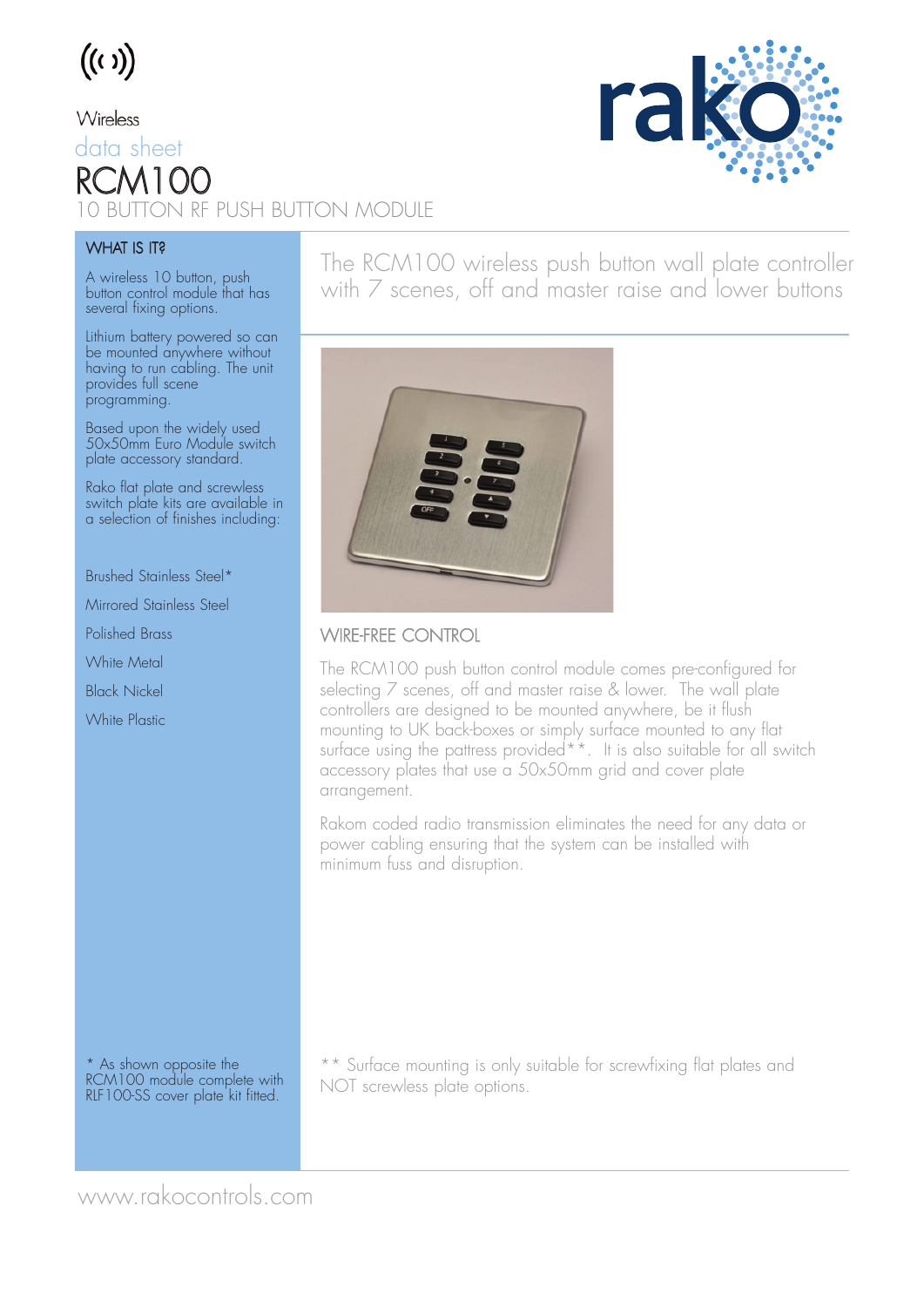# $((\iota))$

### Wireless

## data sheet  $RCM1$ 10 BUTTON RF PUSH BUTTON MODULE



#### **WHAT IS IT?**

A wireless 10 button, push button control module that has several fixing options.

Lithium battery powered so can be mounted anywhere without having to run cabling. The unit provides full scene programming.

Based upon the widely used 50x50mm Euro Module switch plate accessory standard.

Rako flat plate and screwless switch plate kits are available in a selection of finishes including:

Brushed Stainless Steel\*

Mirrored Stainless Steel

Polished Brass

White Metal

Black Nickel

White Plastic

The RCM100 wireless push button wall plate controller with 7 scenes, off and master raise and lower buttons



### WIRE-FREE CONTROL

The RCM100 push button control module comes pre-configured for selecting 7 scenes, off and master raise & lower. The wall plate controllers are designed to be mounted anywhere, be it flush mounting to UK back-boxes or simply surface mounted to any flat surface using the pattress provided<sup>\*\*</sup>. It is also suitable for all switch accessory plates that use a 50x50mm grid and cover plate arrangement.

Rakom coded radio transmission eliminates the need for any data or power cabling ensuring that the system can be installed with minimum fuss and disruption.

\* As shown opposite the RCM100 module complete with RLF100-SS cover plate kit fitted.

\*\* Surface mounting is only suitable for screwfixing flat plates and NOT screwless plate options.